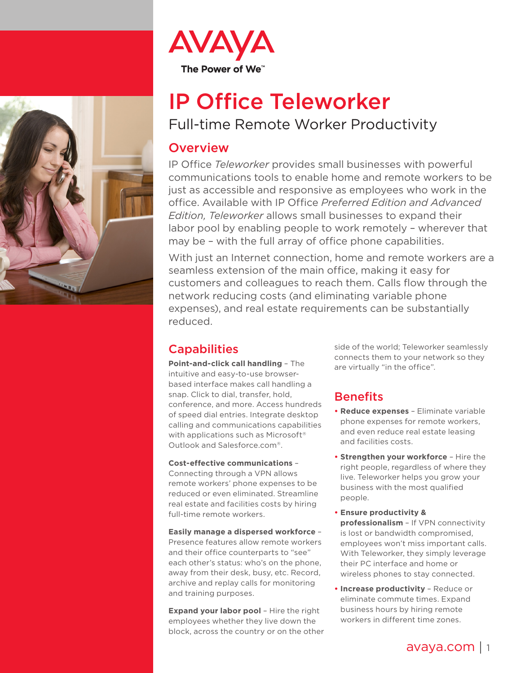



# IP Office Teleworker Full-time Remote Worker Productivity

## **Overview**

IP Office *Teleworker* provides small businesses with powerful communications tools to enable home and remote workers to be just as accessible and responsive as employees who work in the office. Available with IP Office *Preferred Edition and Advanced Edition, Teleworker* allows small businesses to expand their labor pool by enabling people to work remotely – wherever that may be – with the full array of office phone capabilities.

With just an Internet connection, home and remote workers are a seamless extension of the main office, making it easy for customers and colleagues to reach them. Calls flow through the network reducing costs (and eliminating variable phone expenses), and real estate requirements can be substantially reduced.

## **Capabilities**

**Point-and-click call handling** – The intuitive and easy-to-use browserbased interface makes call handling a snap. Click to dial, transfer, hold, conference, and more. Access hundreds of speed dial entries. Integrate desktop calling and communications capabilities with applications such as Microsoft<sup>®</sup> Outlook and Salesforce.com®.

#### **Cost-effective communications** –

Connecting through a VPN allows remote workers' phone expenses to be reduced or even eliminated. Streamline real estate and facilities costs by hiring full-time remote workers.

**Easily manage a dispersed workforce** – Presence features allow remote workers and their office counterparts to "see" each other's status: who's on the phone, away from their desk, busy, etc. Record, archive and replay calls for monitoring and training purposes.

**Expand your labor pool** – Hire the right employees whether they live down the block, across the country or on the other side of the world; Teleworker seamlessly connects them to your network so they are virtually "in the office".

## Benefits

- **• Reduce expenses** Eliminate variable phone expenses for remote workers, and even reduce real estate leasing and facilities costs.
- **• Strengthen your workforce** Hire the right people, regardless of where they live. Teleworker helps you grow your business with the most qualified people.
- **• Ensure productivity & professionalism** – If VPN connectivity is lost or bandwidth compromised, employees won't miss important calls. With Teleworker, they simply leverage their PC interface and home or wireless phones to stay connected.
- **• Increase productivity** Reduce or eliminate commute times. Expand business hours by hiring remote workers in different time zones.